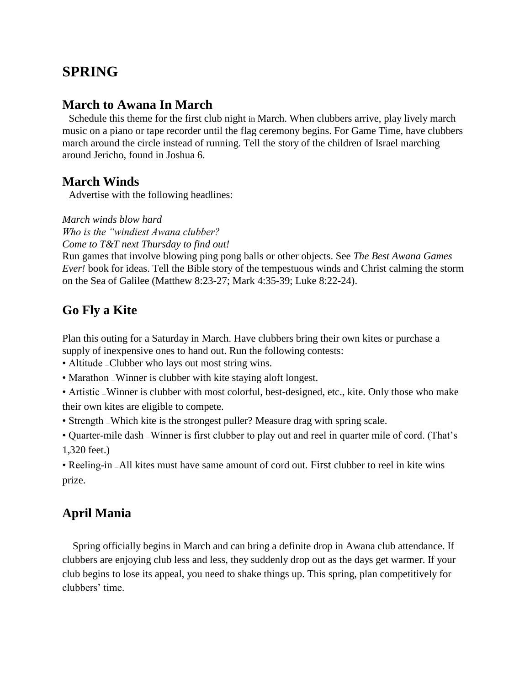# **SPRING**

### **March to Awana In March**

Schedule this theme for the first club night in March. When clubbers arrive, play lively march music on a piano or tape recorder until the flag ceremony begins. For Game Time, have clubbers march around the circle instead of running. Tell the story of the children of Israel marching around Jericho, found in Joshua 6.

#### **March Winds**

Advertise with the following headlines:

*March winds blow hard*

*Who is the "windiest Awana clubber?*

*Come to T&T next Thursday to find out!*

Run games that involve blowing ping pong balls or other objects. See *The Best Awana Games Ever!* book for ideas. Tell the Bible story of the tempestuous winds and Christ calming the storm on the Sea of Galilee (Matthew 8:23-27; Mark 4:35-39; Luke 8:22-24).

### **Go Fly a Kite**

Plan this outing for a Saturday in March. Have clubbers bring their own kites or purchase a supply of inexpensive ones to hand out. Run the following contests:

- Altitude Clubber who lays out most string wins.
- Marathon Winner is clubber with kite staying aloft longest.
- Artistic Winner is clubber with most colorful, best-designed, etc., kite. Only those who make their own kites are eligible to compete.
- Strength Which kite is the strongest puller? Measure drag with spring scale.
- Quarter-mile dash Winner is first clubber to play out and reel in quarter mile of cord. (That's 1,320 feet.)

• Reeling-in — All kites must have same amount of cord out. First clubber to reel in kite wins prize.

### **April Mania**

 Spring officially begins in March and can bring a definite drop in Awana club attendance. If clubbers are enjoying club less and less, they suddenly drop out as the days get warmer. If your club begins to lose its appeal, you need to shake things up. This spring, plan competitively for clubbers' time.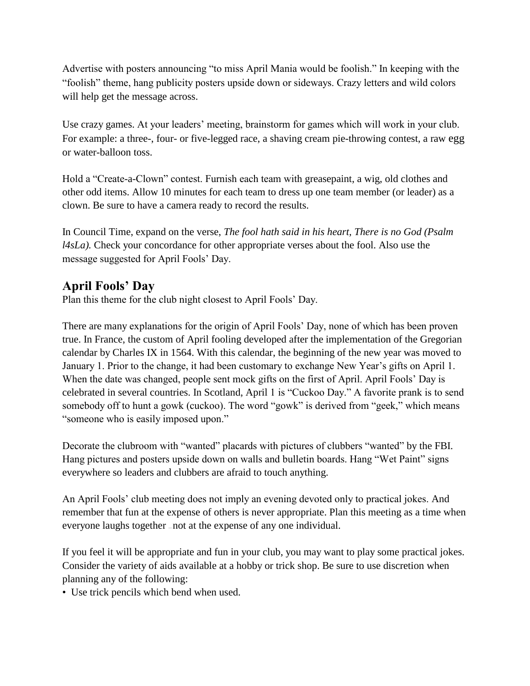Advertise with posters announcing "to miss April Mania would be foolish." In keeping with the "foolish" theme, hang publicity posters upside down or sideways. Crazy letters and wild colors will help get the message across.

Use crazy games. At your leaders' meeting, brainstorm for games which will work in your club. For example: a three-, four- or five-legged race, a shaving cream pie-throwing contest, a raw egg or water-balloon toss.

Hold a "Create-a-Clown" contest. Furnish each team with greasepaint, a wig, old clothes and other odd items. Allow 10 minutes for each team to dress up one team member (or leader) as a clown. Be sure to have a camera ready to record the results.

In Council Time, expand on the verse, *The fool hath said in his heart, There is no God (Psalm l4sLa*). Check your concordance for other appropriate verses about the fool. Also use the message suggested for April Fools' Day.

### **April Fools' Day**

Plan this theme for the club night closest to April Fools' Day.

There are many explanations for the origin of April Fools' Day, none of which has been proven true. In France, the custom of April fooling developed after the implementation of the Gregorian calendar by Charles IX in 1564. With this calendar, the beginning of the new year was moved to January 1. Prior to the change, it had been customary to exchange New Year's gifts on April 1. When the date was changed, people sent mock gifts on the first of April. April Fools' Day is celebrated in several countries. In Scotland, April 1 is "Cuckoo Day." A favorite prank is to send somebody off to hunt a gowk (cuckoo). The word "gowk" is derived from "geek," which means "someone who is easily imposed upon."

Decorate the clubroom with "wanted" placards with pictures of clubbers "wanted" by the FBI. Hang pictures and posters upside down on walls and bulletin boards. Hang "Wet Paint" signs everywhere so leaders and clubbers are afraid to touch anything.

An April Fools' club meeting does not imply an evening devoted only to practical jokes. And remember that fun at the expense of others is never appropriate. Plan this meeting as a time when everyone laughs together — not at the expense of any one individual.

If you feel it will be appropriate and fun in your club, you may want to play some practical jokes. Consider the variety of aids available at a hobby or trick shop. Be sure to use discretion when planning any of the following:

• Use trick pencils which bend when used.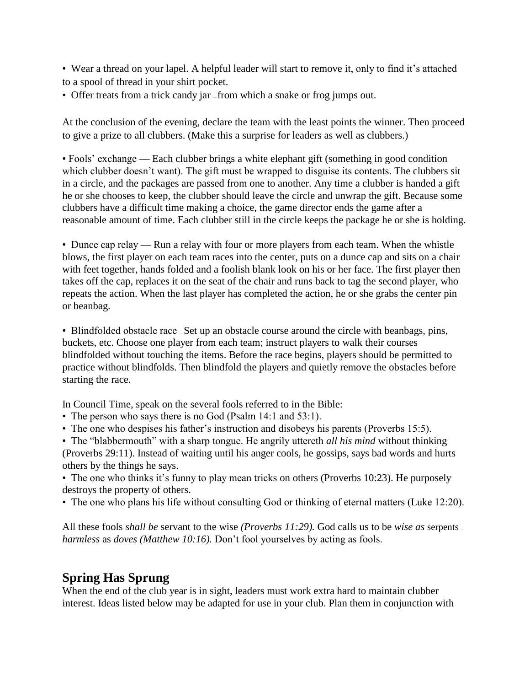• Wear a thread on your lapel. A helpful leader will start to remove it, only to find it's attached to a spool of thread in your shirt pocket.

• Offer treats from a trick candy jar — from which a snake or frog jumps out.

At the conclusion of the evening, declare the team with the least points the winner. Then proceed to give a prize to all clubbers. (Make this a surprise for leaders as well as clubbers.)

• Fools' exchange — Each clubber brings a white elephant gift (something in good condition which clubber doesn't want). The gift must be wrapped to disguise its contents. The clubbers sit in a circle, and the packages are passed from one to another. Any time a clubber is handed a gift he or she chooses to keep, the clubber should leave the circle and unwrap the gift. Because some clubbers have a difficult time making a choice, the game director ends the game after a reasonable amount of time. Each clubber still in the circle keeps the package he or she is holding.

• Dunce cap relay — Run a relay with four or more players from each team. When the whistle blows, the first player on each team races into the center, puts on a dunce cap and sits on a chair with feet together, hands folded and a foolish blank look on his or her face. The first player then takes off the cap, replaces it on the seat of the chair and runs back to tag the second player, who repeats the action. When the last player has completed the action, he or she grabs the center pin or beanbag.

• Blindfolded obstacle race — Set up an obstacle course around the circle with beanbags, pins, buckets, etc. Choose one player from each team; instruct players to walk their courses blindfolded without touching the items. Before the race begins, players should be permitted to practice without blindfolds. Then blindfold the players and quietly remove the obstacles before starting the race.

In Council Time, speak on the several fools referred to in the Bible:

- The person who says there is no God (Psalm 14:1 and 53:1).
- The one who despises his father's instruction and disobeys his parents (Proverbs 15:5).

• The "blabbermouth" with a sharp tongue. He angrily uttereth *all his mind* without thinking (Proverbs 29:11). Instead of waiting until his anger cools, he gossips, says bad words and hurts others by the things he says.

• The one who thinks it's funny to play mean tricks on others (Proverbs 10:23). He purposely destroys the property of others.

• The one who plans his life without consulting God or thinking of eternal matters (Luke 12:20).

All these fools *shall be* servant to the wise *(Proverbs 11:29).* God calls us to be *wise as* serpents ... *harmless* as *doves (Matthew 10:16).* Don't fool yourselves by acting as fools.

# **Spring Has Sprung**

When the end of the club year is in sight, leaders must work extra hard to maintain clubber interest. Ideas listed below may be adapted for use in your club. Plan them in conjunction with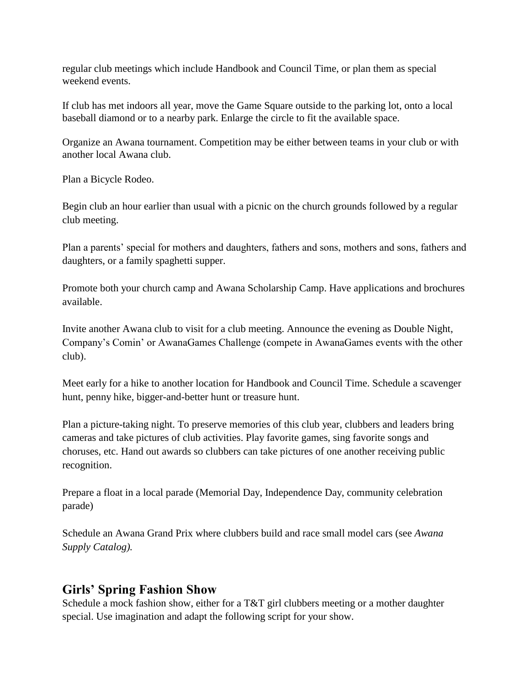regular club meetings which include Handbook and Council Time, or plan them as special weekend events.

If club has met indoors all year, move the Game Square outside to the parking lot, onto a local baseball diamond or to a nearby park. Enlarge the circle to fit the available space.

Organize an Awana tournament. Competition may be either between teams in your club or with another local Awana club.

Plan a Bicycle Rodeo.

Begin club an hour earlier than usual with a picnic on the church grounds followed by a regular club meeting.

Plan a parents' special for mothers and daughters, fathers and sons, mothers and sons, fathers and daughters, or a family spaghetti supper.

Promote both your church camp and Awana Scholarship Camp. Have applications and brochures available.

Invite another Awana club to visit for a club meeting. Announce the evening as Double Night, Company's Comin' or AwanaGames Challenge (compete in AwanaGames events with the other club).

Meet early for a hike to another location for Handbook and Council Time. Schedule a scavenger hunt, penny hike, bigger-and-better hunt or treasure hunt.

Plan a picture-taking night. To preserve memories of this club year, clubbers and leaders bring cameras and take pictures of club activities. Play favorite games, sing favorite songs and choruses, etc. Hand out awards so clubbers can take pictures of one another receiving public recognition.

Prepare a float in a local parade (Memorial Day, Independence Day, community celebration parade)

Schedule an Awana Grand Prix where clubbers build and race small model cars (see *Awana Supply Catalog).*

## **Girls' Spring Fashion Show**

Schedule a mock fashion show, either for a T&T girl clubbers meeting or a mother daughter special. Use imagination and adapt the following script for your show.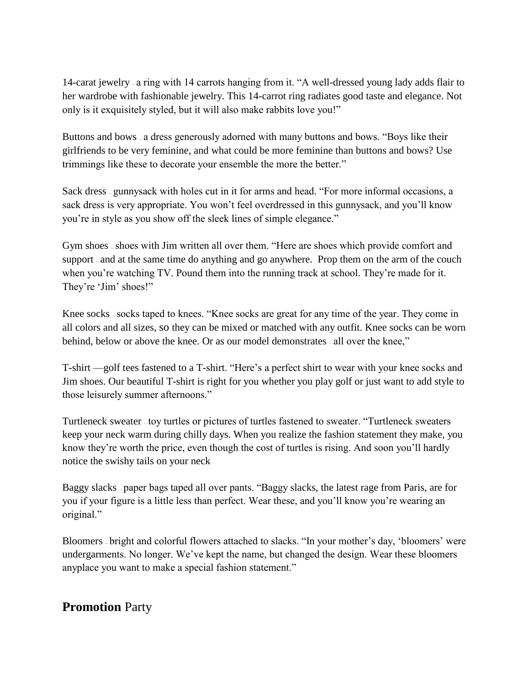14-carat jewelry — a ring with 14 carrots hanging from it. "A well-dressed young lady adds flair to her wardrobe with fashionable jewelry. This 14-carrot ring radiates good taste and elegance. Not only is it exquisitely styled, but it will also make rabbits love you!"

Buttons and bows – a dress generously adorned with many buttons and bows. "Boys like their girlfriends to be very feminine, and what could be more feminine than buttons and bows? Use trimmings like these to decorate your ensemble the more the better."

Sack dress -gunnysack with holes cut in it for arms and head. "For more informal occasions, a sack dress is very appropriate. You won't feel overdressed in this gunnysack, and you'll know you're in style as you show off the sleek lines of simple elegance."

Gym shoes — shoes with Jim written all over them. "Here are shoes which provide comfort and support – and at the same time do anything and go anywhere. Prop them on the arm of the couch when you're watching TV. Pound them into the running track at school. They're made for it. They're 'Jim' shoes!"

Knee socks – socks taped to knees. "Knee socks are great for any time of the year. They come in all colors and all sizes, so they can be mixed or matched with any outfit. Knee socks can be worn behind, below or above the knee. Or as our model demonstrates  $\alpha$ -all over the knee,"

T-shirt —golf tees fastened to a T-shirt. "Here's a perfect shirt to wear with your knee socks and Jim shoes. Our beautiful T-shirt is right for you whether you play golf or just want to add style to those leisurely summer afternoons."

Turtleneck sweater — toy turtles or pictures of turtles fastened to sweater. "Turtleneck sweaters keep your neck warm during chilly days. When you realize the fashion statement they make, you know they're worth the price, even though the cost of turtles is rising. And soon you'll hardly notice the swishy tails on your neck

Baggy slacks — paper bags taped all over pants. "Baggy slacks, the latest rage from Paris, are for you if your figure is a little less than perfect. Wear these, and you'll know you're wearing an original."

Bloomers — bright and colorful flowers attached to slacks. "In your mother's day, 'bloomers' were undergarments. No longer. We've kept the name, but changed the design. Wear these bloomers anyplace you want to make a special fashion statement."

### **Promotion** Party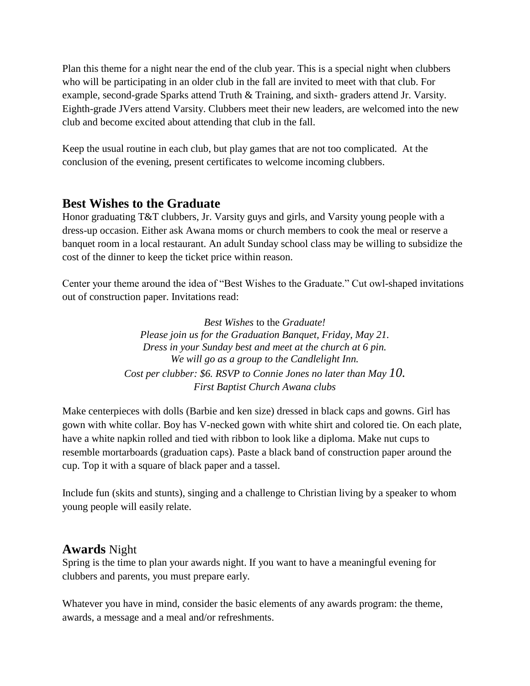Plan this theme for a night near the end of the club year. This is a special night when clubbers who will be participating in an older club in the fall are invited to meet with that club. For example, second-grade Sparks attend Truth & Training, and sixth- graders attend Jr. Varsity. Eighth-grade JVers attend Varsity. Clubbers meet their new leaders, are welcomed into the new club and become excited about attending that club in the fall.

Keep the usual routine in each club, but play games that are not too complicated. At the conclusion of the evening, present certificates to welcome incoming clubbers.

### **Best Wishes to the Graduate**

Honor graduating T&T clubbers, Jr. Varsity guys and girls, and Varsity young people with a dress-up occasion. Either ask Awana moms or church members to cook the meal or reserve a banquet room in a local restaurant. An adult Sunday school class may be willing to subsidize the cost of the dinner to keep the ticket price within reason.

Center your theme around the idea of "Best Wishes to the Graduate." Cut owl-shaped invitations out of construction paper. Invitations read:

> *Best Wishes* to the *Graduate! Please join us for the Graduation Banquet, Friday, May 21. Dress in your Sunday best and meet at the church at 6 pin. We will go as a group to the Candlelight Inn. Cost per clubber: \$6. RSVP to Connie Jones no later than May 10. First Baptist Church Awana clubs*

Make centerpieces with dolls (Barbie and ken size) dressed in black caps and gowns. Girl has gown with white collar. Boy has V-necked gown with white shirt and colored tie. On each plate, have a white napkin rolled and tied with ribbon to look like a diploma. Make nut cups to resemble mortarboards (graduation caps). Paste a black band of construction paper around the cup. Top it with a square of black paper and a tassel.

Include fun (skits and stunts), singing and a challenge to Christian living by a speaker to whom young people will easily relate.

### **Awards** Night

Spring is the time to plan your awards night. If you want to have a meaningful evening for clubbers and parents, you must prepare early.

Whatever you have in mind, consider the basic elements of any awards program: the theme, awards, a message and a meal and/or refreshments.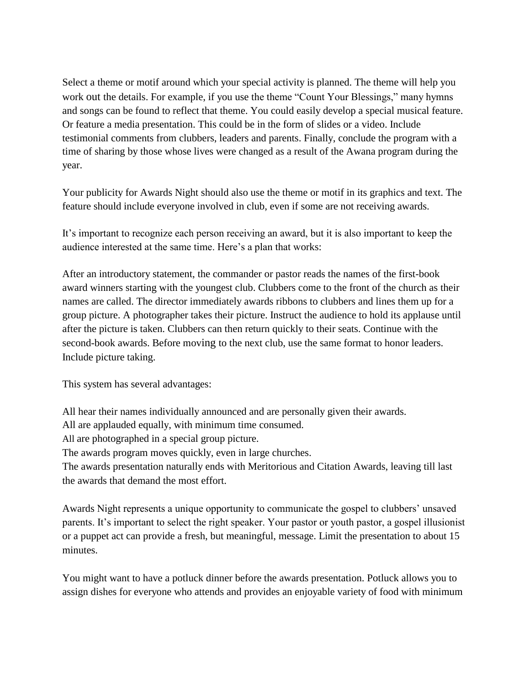Select a theme or motif around which your special activity is planned. The theme will help you work out the details. For example, if you use the theme "Count Your Blessings," many hymns and songs can be found to reflect that theme. You could easily develop a special musical feature. Or feature a media presentation. This could be in the form of slides or a video. Include testimonial comments from clubbers, leaders and parents. Finally, conclude the program with a time of sharing by those whose lives were changed as a result of the Awana program during the year.

Your publicity for Awards Night should also use the theme or motif in its graphics and text. The feature should include everyone involved in club, even if some are not receiving awards.

It's important to recognize each person receiving an award, but it is also important to keep the audience interested at the same time. Here's a plan that works:

After an introductory statement, the commander or pastor reads the names of the first-book award winners starting with the youngest club. Clubbers come to the front of the church as their names are called. The director immediately awards ribbons to clubbers and lines them up for a group picture. A photographer takes their picture. Instruct the audience to hold its applause until after the picture is taken. Clubbers can then return quickly to their seats. Continue with the second-book awards. Before moving to the next club, use the same format to honor leaders. Include picture taking.

This system has several advantages:

All hear their names individually announced and are personally given their awards.

All are applauded equally, with minimum time consumed.

All are photographed in a special group picture.

The awards program moves quickly, even in large churches.

The awards presentation naturally ends with Meritorious and Citation Awards, leaving till last the awards that demand the most effort.

Awards Night represents a unique opportunity to communicate the gospel to clubbers' unsaved parents. It's important to select the right speaker. Your pastor or youth pastor, a gospel illusionist or a puppet act can provide a fresh, but meaningful, message. Limit the presentation to about 15 minutes.

You might want to have a potluck dinner before the awards presentation. Potluck allows you to assign dishes for everyone who attends and provides an enjoyable variety of food with minimum